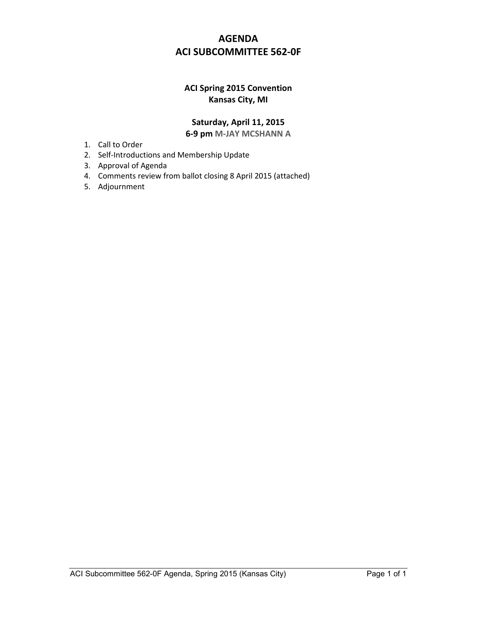# **AGENDA ACI SUBCOMMITTEE 562-0F**

## **ACI Spring 2015 Convention Kansas City, MI**

### **Saturday, April 11, 2015 6-9 pm M-JAY MCSHANN A**

- 1. Call to Order
- 2. Self-Introductions and Membership Update
- 3. Approval of Agenda
- 4. Comments review from ballot closing 8 April 2015 (attached)
- 5. Adjournment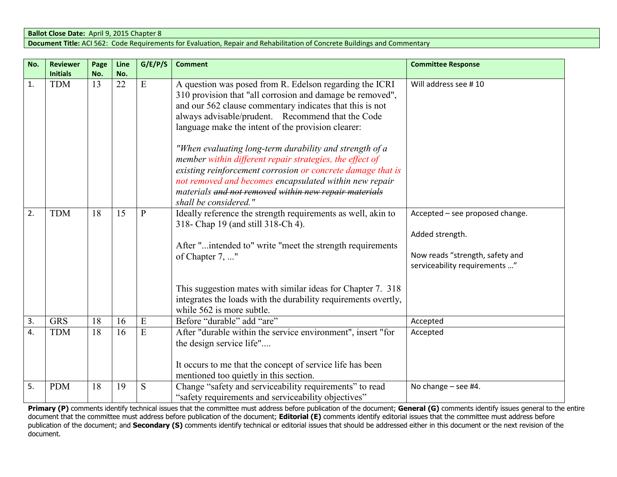#### **Ballot Close Date:** April 9, 2015 Chapter 8 **Document Title:** ACI 562: Code Requirements for Evaluation, Repair and Rehabilitation of Concrete Buildings and Commentary

| No. | <b>Reviewer</b> | Page | Line | G/E/P/S      | <b>Comment</b>                                                                                                                                                                                                                                                                                                                                   | <b>Committee Response</b>                                                                                              |
|-----|-----------------|------|------|--------------|--------------------------------------------------------------------------------------------------------------------------------------------------------------------------------------------------------------------------------------------------------------------------------------------------------------------------------------------------|------------------------------------------------------------------------------------------------------------------------|
|     | <b>Initials</b> | No.  | No.  |              |                                                                                                                                                                                                                                                                                                                                                  |                                                                                                                        |
| 1.  | <b>TDM</b>      | 13   | 22   | E            | A question was posed from R. Edelson regarding the ICRI<br>310 provision that "all corrosion and damage be removed",<br>and our 562 clause commentary indicates that this is not<br>always advisable/prudent. Recommend that the Code<br>language make the intent of the provision clearer:                                                      | Will address see #10                                                                                                   |
|     |                 |      |      |              | "When evaluating long-term durability and strength of a<br>member within different repair strategies, the effect of<br>existing reinforcement corrosion or concrete damage that is<br>not removed and becomes encapsulated within new repair<br>materials and not removed within new repair materials<br>shall be considered."                   |                                                                                                                        |
| 2.  | <b>TDM</b>      | 18   | 15   | $\mathbf{P}$ | Ideally reference the strength requirements as well, akin to<br>318- Chap 19 (and still 318-Ch 4).<br>After "intended to" write "meet the strength requirements<br>of Chapter 7, "<br>This suggestion mates with similar ideas for Chapter 7. 318<br>integrates the loads with the durability requirements overtly,<br>while 562 is more subtle. | Accepted - see proposed change.<br>Added strength.<br>Now reads "strength, safety and<br>serviceability requirements " |
| 3.  | <b>GRS</b>      | 18   | 16   | E            | Before "durable" add "are"                                                                                                                                                                                                                                                                                                                       | Accepted                                                                                                               |
| 4.  | <b>TDM</b>      | 18   | 16   | E            | After "durable within the service environment", insert "for<br>the design service life"<br>It occurs to me that the concept of service life has been<br>mentioned too quietly in this section.                                                                                                                                                   | Accepted                                                                                                               |
| 5.  | <b>PDM</b>      | 18   | 19   | S            | Change "safety and serviceability requirements" to read<br>"safety requirements and serviceability objectives"                                                                                                                                                                                                                                   | No change $-$ see #4.                                                                                                  |

**Primary (P)** comments identify technical issues that the committee must address before publication of the document; **General (G)** comments identify issues general to the entire document that the committee must address before publication of the document; **Editorial (E)** comments identify editorial issues that the committee must address before publication of the document; and **Secondary (S)** comments identify technical or editorial issues that should be addressed either in this document or the next revision of the document.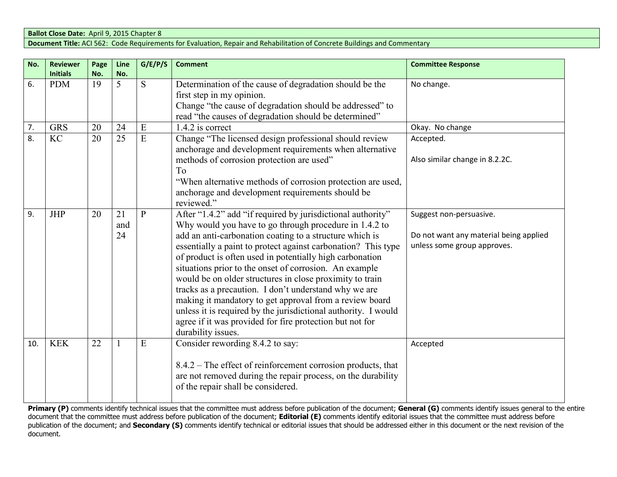#### **Ballot Close Date:** April 9, 2015 Chapter 8 **Document Title:** ACI 562: Code Requirements for Evaluation, Repair and Rehabilitation of Concrete Buildings and Commentary

| No. | <b>Reviewer</b><br><b>Initials</b> | Page<br>No. | Line<br>No.     | G/E/P/S        | <b>Comment</b>                                                                                                                                                                                                                                                                                                                                                                                                                                                                                                                                                                                                                                                                                              | <b>Committee Response</b>                                                                        |
|-----|------------------------------------|-------------|-----------------|----------------|-------------------------------------------------------------------------------------------------------------------------------------------------------------------------------------------------------------------------------------------------------------------------------------------------------------------------------------------------------------------------------------------------------------------------------------------------------------------------------------------------------------------------------------------------------------------------------------------------------------------------------------------------------------------------------------------------------------|--------------------------------------------------------------------------------------------------|
| 6.  | <b>PDM</b>                         | 19          | 5               | S              | Determination of the cause of degradation should be the<br>first step in my opinion.<br>Change "the cause of degradation should be addressed" to<br>read "the causes of degradation should be determined"                                                                                                                                                                                                                                                                                                                                                                                                                                                                                                   | No change.                                                                                       |
| 7.  | <b>GRS</b>                         | 20          | 24              | E              | 1.4.2 is correct                                                                                                                                                                                                                                                                                                                                                                                                                                                                                                                                                                                                                                                                                            | Okay. No change                                                                                  |
| 8.  | <b>KC</b>                          | 20          | $\overline{25}$ | $\overline{E}$ | Change "The licensed design professional should review<br>anchorage and development requirements when alternative<br>methods of corrosion protection are used"<br>To<br>"When alternative methods of corrosion protection are used,<br>anchorage and development requirements should be<br>reviewed."                                                                                                                                                                                                                                                                                                                                                                                                       | Accepted.<br>Also similar change in 8.2.2C.                                                      |
| 9.  | <b>JHP</b>                         | 20          | 21<br>and<br>24 | P              | After "1.4.2" add "if required by jurisdictional authority"<br>Why would you have to go through procedure in 1.4.2 to<br>add an anti-carbonation coating to a structure which is<br>essentially a paint to protect against carbonation? This type<br>of product is often used in potentially high carbonation<br>situations prior to the onset of corrosion. An example<br>would be on older structures in close proximity to train<br>tracks as a precaution. I don't understand why we are<br>making it mandatory to get approval from a review board<br>unless it is required by the jurisdictional authority. I would<br>agree if it was provided for fire protection but not for<br>durability issues. | Suggest non-persuasive.<br>Do not want any material being applied<br>unless some group approves. |
| 10. | <b>KEK</b>                         | 22          |                 | E              | Consider rewording 8.4.2 to say:<br>8.4.2 – The effect of reinforcement corrosion products, that<br>are not removed during the repair process, on the durability<br>of the repair shall be considered.                                                                                                                                                                                                                                                                                                                                                                                                                                                                                                      | Accepted                                                                                         |

**Primary (P)** comments identify technical issues that the committee must address before publication of the document; **General (G)** comments identify issues general to the entire document that the committee must address before publication of the document; **Editorial (E)** comments identify editorial issues that the committee must address before<br>publication of the document; and **Secondary (S)** commen document.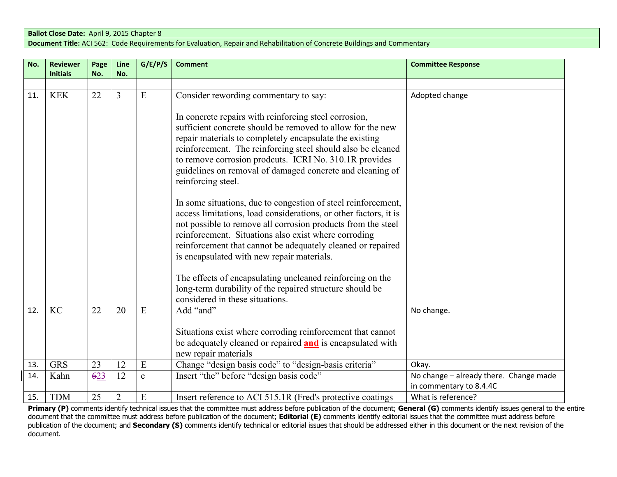#### **Ballot Close Date:** April 9, 2015 Chapter 8 **Document Title:** ACI 562: Code Requirements for Evaluation, Repair and Rehabilitation of Concrete Buildings and Commentary

| No. | <b>Reviewer</b><br><b>Initials</b> | Page | Line           | G/E/P/S     | <b>Comment</b>                                                                                                                                                                                                                                                                                                                                                                                                                                                                                                                                                                                                                                                                                                                                                                                                | <b>Committee Response</b>                                         |
|-----|------------------------------------|------|----------------|-------------|---------------------------------------------------------------------------------------------------------------------------------------------------------------------------------------------------------------------------------------------------------------------------------------------------------------------------------------------------------------------------------------------------------------------------------------------------------------------------------------------------------------------------------------------------------------------------------------------------------------------------------------------------------------------------------------------------------------------------------------------------------------------------------------------------------------|-------------------------------------------------------------------|
|     |                                    | No.  | No.            |             |                                                                                                                                                                                                                                                                                                                                                                                                                                                                                                                                                                                                                                                                                                                                                                                                               |                                                                   |
| 11. | <b>KEK</b>                         | 22   | 3              | E           | Consider rewording commentary to say:<br>In concrete repairs with reinforcing steel corrosion,<br>sufficient concrete should be removed to allow for the new<br>repair materials to completely encapsulate the existing<br>reinforcement. The reinforcing steel should also be cleaned<br>to remove corrosion prodcuts. ICRI No. 310.1R provides<br>guidelines on removal of damaged concrete and cleaning of<br>reinforcing steel.<br>In some situations, due to congestion of steel reinforcement,<br>access limitations, load considerations, or other factors, it is<br>not possible to remove all corrosion products from the steel<br>reinforcement. Situations also exist where corroding<br>reinforcement that cannot be adequately cleaned or repaired<br>is encapsulated with new repair materials. | Adopted change                                                    |
|     |                                    |      |                |             | The effects of encapsulating uncleaned reinforcing on the<br>long-term durability of the repaired structure should be<br>considered in these situations.                                                                                                                                                                                                                                                                                                                                                                                                                                                                                                                                                                                                                                                      |                                                                   |
| 12. | <b>KC</b>                          | 22   | 20             | E           | Add "and"<br>Situations exist where corroding reinforcement that cannot<br>be adequately cleaned or repaired <b>and</b> is encapsulated with<br>new repair materials                                                                                                                                                                                                                                                                                                                                                                                                                                                                                                                                                                                                                                          | No change.                                                        |
| 13. | <b>GRS</b>                         | 23   | 12             | E           | Change "design basis code" to "design-basis criteria"                                                                                                                                                                                                                                                                                                                                                                                                                                                                                                                                                                                                                                                                                                                                                         | Okay.                                                             |
| 14. | Kahn                               | 623  | 12             | $\mathbf e$ | Insert "the" before "design basis code"                                                                                                                                                                                                                                                                                                                                                                                                                                                                                                                                                                                                                                                                                                                                                                       | No change - already there. Change made<br>in commentary to 8.4.4C |
| 15. | <b>TDM</b>                         | 25   | $\overline{2}$ | E           | Insert reference to ACI 515.1R (Fred's protective coatings                                                                                                                                                                                                                                                                                                                                                                                                                                                                                                                                                                                                                                                                                                                                                    | What is reference?                                                |

**Primary (P)** comments identify technical issues that the committee must address before publication of the document; **General (G)** comments identify issues general to the entire document that the committee must address before publication of the document; **Editorial (E)** comments identify editorial issues that the committee must address before publication of the document; and **Secondary (S)** comments identify technical or editorial issues that should be addressed either in this document or the next revision of the document.